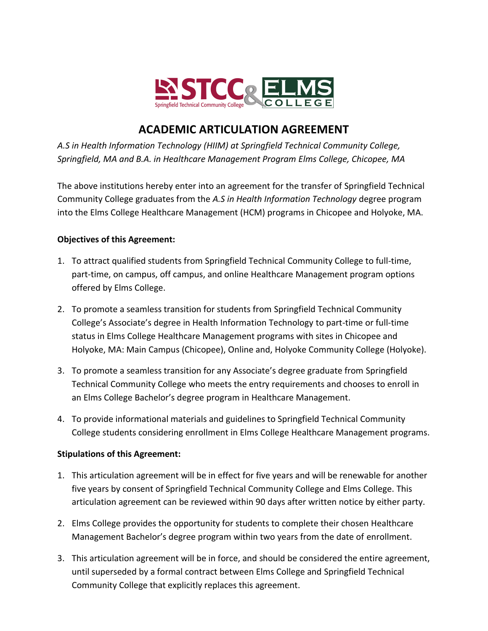

# **ACADEMIC ARTICULATION AGREEMENT**

*A.S in Health Information Technology (HIIM) at Springfield Technical Community College, Springfield, MA and B.A. in Healthcare Management Program Elms College, Chicopee, MA*

The above institutions hereby enter into an agreement for the transfer of Springfield Technical Community College graduates from the *A.S in Health Information Technology* degree program into the Elms College Healthcare Management (HCM) programs in Chicopee and Holyoke, MA.

## **Objectives of this Agreement:**

- 1. To attract qualified students from Springfield Technical Community College to full-time, part-time, on campus, off campus, and online Healthcare Management program options offered by Elms College.
- 2. To promote a seamless transition for students from Springfield Technical Community College's Associate's degree in Health Information Technology to part-time or full-time status in Elms College Healthcare Management programs with sites in Chicopee and Holyoke, MA: Main Campus (Chicopee), Online and, Holyoke Community College (Holyoke).
- 3. To promote a seamless transition for any Associate's degree graduate from Springfield Technical Community College who meets the entry requirements and chooses to enroll in an Elms College Bachelor's degree program in Healthcare Management.
- 4. To provide informational materials and guidelines to Springfield Technical Community College students considering enrollment in Elms College Healthcare Management programs.

## **Stipulations of this Agreement:**

- 1. This articulation agreement will be in effect for five years and will be renewable for another five years by consent of Springfield Technical Community College and Elms College. This articulation agreement can be reviewed within 90 days after written notice by either party.
- 2. Elms College provides the opportunity for students to complete their chosen Healthcare Management Bachelor's degree program within two years from the date of enrollment.
- 3. This articulation agreement will be in force, and should be considered the entire agreement, until superseded by a formal contract between Elms College and Springfield Technical Community College that explicitly replaces this agreement.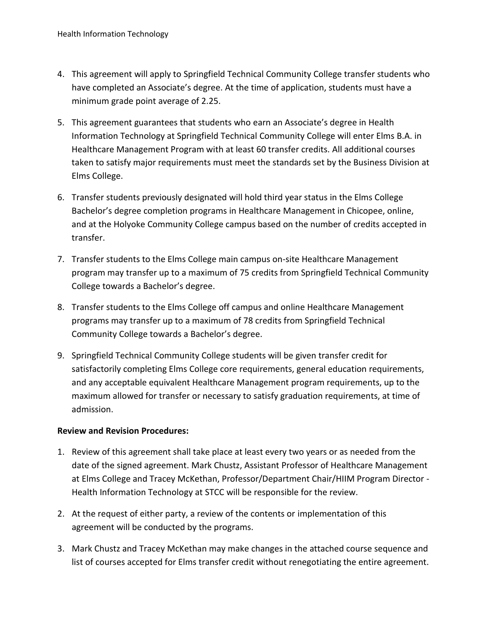- 4. This agreement will apply to Springfield Technical Community College transfer students who have completed an Associate's degree. At the time of application, students must have a minimum grade point average of 2.25.
- 5. This agreement guarantees that students who earn an Associate's degree in Health Information Technology at Springfield Technical Community College will enter Elms B.A. in Healthcare Management Program with at least 60 transfer credits. All additional courses taken to satisfy major requirements must meet the standards set by the Business Division at Elms College.
- 6. Transfer students previously designated will hold third year status in the Elms College Bachelor's degree completion programs in Healthcare Management in Chicopee, online, and at the Holyoke Community College campus based on the number of credits accepted in transfer.
- 7. Transfer students to the Elms College main campus on-site Healthcare Management program may transfer up to a maximum of 75 credits from Springfield Technical Community College towards a Bachelor's degree.
- 8. Transfer students to the Elms College off campus and online Healthcare Management programs may transfer up to a maximum of 78 credits from Springfield Technical Community College towards a Bachelor's degree.
- 9. Springfield Technical Community College students will be given transfer credit for satisfactorily completing Elms College core requirements, general education requirements, and any acceptable equivalent Healthcare Management program requirements, up to the maximum allowed for transfer or necessary to satisfy graduation requirements, at time of admission.

### **Review and Revision Procedures:**

- 1. Review of this agreement shall take place at least every two years or as needed from the date of the signed agreement. Mark Chustz, Assistant Professor of Healthcare Management at Elms College and Tracey McKethan, Professor/Department Chair/HIIM Program Director - Health Information Technology at STCC will be responsible for the review.
- 2. At the request of either party, a review of the contents or implementation of this agreement will be conducted by the programs.
- 3. Mark Chustz and Tracey McKethan may make changes in the attached course sequence and list of courses accepted for Elms transfer credit without renegotiating the entire agreement.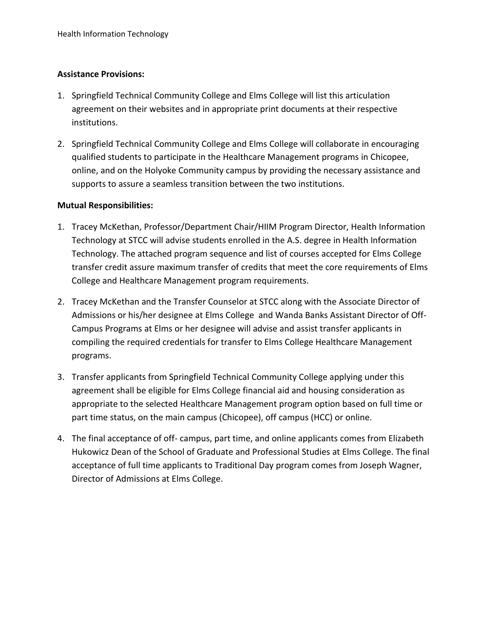### **Assistance Provisions:**

- 1. Springfield Technical Community College and Elms College will list this articulation agreement on their websites and in appropriate print documents at their respective institutions.
- 2. Springfield Technical Community College and Elms College will collaborate in encouraging qualified students to participate in the Healthcare Management programs in Chicopee, online, and on the Holyoke Community campus by providing the necessary assistance and supports to assure a seamless transition between the two institutions.

### **Mutual Responsibilities:**

- 1. Tracey McKethan, Professor/Department Chair/HIIM Program Director, Health Information Technology at STCC will advise students enrolled in the A.S. degree in Health Information Technology. The attached program sequence and list of courses accepted for Elms College transfer credit assure maximum transfer of credits that meet the core requirements of Elms College and Healthcare Management program requirements.
- 2. Tracey McKethan and the Transfer Counselor at STCC along with the Associate Director of Admissions or his/her designee at Elms College and Wanda Banks Assistant Director of Off-Campus Programs at Elms or her designee will advise and assist transfer applicants in compiling the required credentials for transfer to Elms College Healthcare Management programs.
- 3. Transfer applicants from Springfield Technical Community College applying under this agreement shall be eligible for Elms College financial aid and housing consideration as appropriate to the selected Healthcare Management program option based on full time or part time status, on the main campus (Chicopee), off campus (HCC) or online.
- 4. The final acceptance of off- campus, part time, and online applicants comes from Elizabeth Hukowicz Dean of the School of Graduate and Professional Studies at Elms College. The final acceptance of full time applicants to Traditional Day program comes from Joseph Wagner, Director of Admissions at Elms College.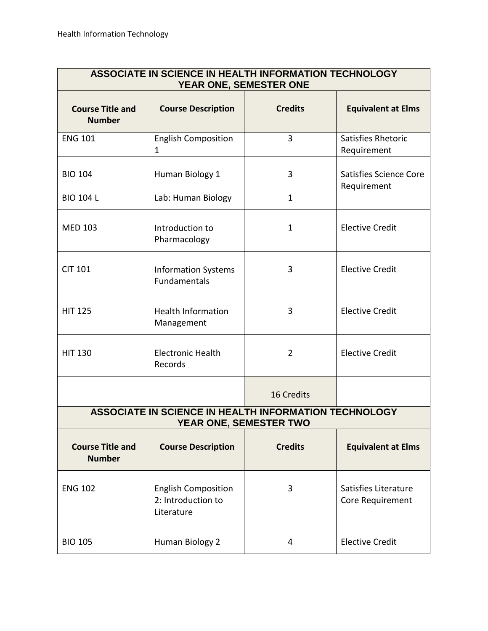| ASSOCIATE IN SCIENCE IN HEALTH INFORMATION TECHNOLOGY<br>YEAR ONE, SEMESTER ONE |                                                                |                             |                                          |  |  |
|---------------------------------------------------------------------------------|----------------------------------------------------------------|-----------------------------|------------------------------------------|--|--|
| <b>Course Title and</b><br><b>Number</b>                                        | <b>Course Description</b>                                      | <b>Credits</b>              | <b>Equivalent at Elms</b>                |  |  |
| <b>ENG 101</b>                                                                  | <b>English Composition</b><br>1                                | $\overline{3}$              | Satisfies Rhetoric<br>Requirement        |  |  |
| <b>BIO 104</b>                                                                  | Human Biology 1                                                | 3                           | Satisfies Science Core<br>Requirement    |  |  |
| <b>BIO 104 L</b>                                                                | Lab: Human Biology                                             | $\mathbf{1}$                |                                          |  |  |
| <b>MED 103</b>                                                                  | Introduction to<br>Pharmacology                                | $\mathbf{1}$                | <b>Elective Credit</b>                   |  |  |
| <b>CIT 101</b>                                                                  | <b>Information Systems</b><br>Fundamentals                     | 3                           | <b>Elective Credit</b>                   |  |  |
| <b>HIT 125</b>                                                                  | <b>Health Information</b><br>Management                        | 3                           | <b>Elective Credit</b>                   |  |  |
| <b>HIT 130</b>                                                                  | <b>Electronic Health</b><br>Records                            | $\overline{2}$              | <b>Elective Credit</b>                   |  |  |
|                                                                                 |                                                                | 16 Credits                  |                                          |  |  |
| ASSOCIATE IN SCIENCE IN HEALTH INFORMATION TECHNOLOGY<br>YEAR ONE, SEMESTER TWO |                                                                |                             |                                          |  |  |
| <b>Course Title and</b><br><b>Number</b>                                        | <b>Course Description</b>                                      | <b>Credits</b>              | <b>Equivalent at Elms</b>                |  |  |
| <b>ENG 102</b>                                                                  | <b>English Composition</b><br>2: Introduction to<br>Literature | 3                           | Satisfies Literature<br>Core Requirement |  |  |
| <b>BIO 105</b>                                                                  | Human Biology 2                                                | <b>Elective Credit</b><br>4 |                                          |  |  |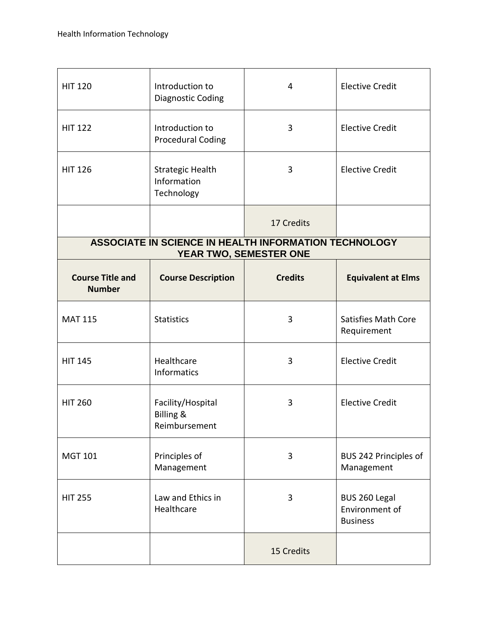| <b>HIT 120</b>                                                                  | Introduction to<br><b>Diagnostic Coding</b>                | 4              | <b>Elective Credit</b>                             |  |  |  |
|---------------------------------------------------------------------------------|------------------------------------------------------------|----------------|----------------------------------------------------|--|--|--|
| <b>HIT 122</b>                                                                  | Introduction to<br><b>Procedural Coding</b>                | 3              | <b>Elective Credit</b>                             |  |  |  |
| <b>HIT 126</b>                                                                  | <b>Strategic Health</b><br>Information<br>Technology       | 3              | <b>Elective Credit</b>                             |  |  |  |
|                                                                                 |                                                            | 17 Credits     |                                                    |  |  |  |
| ASSOCIATE IN SCIENCE IN HEALTH INFORMATION TECHNOLOGY<br>YEAR TWO, SEMESTER ONE |                                                            |                |                                                    |  |  |  |
| <b>Course Title and</b><br><b>Number</b>                                        | <b>Course Description</b>                                  | <b>Credits</b> | <b>Equivalent at Elms</b>                          |  |  |  |
| <b>MAT 115</b>                                                                  | <b>Statistics</b>                                          | 3              | <b>Satisfies Math Core</b><br>Requirement          |  |  |  |
| <b>HIT 145</b>                                                                  | Healthcare<br>Informatics                                  | 3              | <b>Elective Credit</b>                             |  |  |  |
| <b>HIT 260</b>                                                                  | Facility/Hospital<br><b>Billing &amp;</b><br>Reimbursement | 3              | <b>Elective Credit</b>                             |  |  |  |
| <b>MGT 101</b>                                                                  | Principles of<br>Management                                | 3              | BUS 242 Principles of<br>Management                |  |  |  |
| <b>HIT 255</b>                                                                  | Law and Ethics in<br>Healthcare                            | 3              | BUS 260 Legal<br>Environment of<br><b>Business</b> |  |  |  |
|                                                                                 |                                                            | 15 Credits     |                                                    |  |  |  |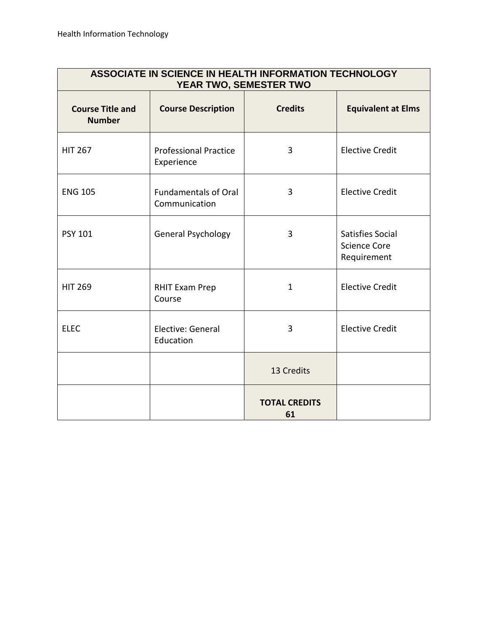| ASSOCIATE IN SCIENCE IN HEALTH INFORMATION TECHNOLOGY<br>YEAR TWO, SEMESTER TWO |                                              |                            |                                                        |  |  |
|---------------------------------------------------------------------------------|----------------------------------------------|----------------------------|--------------------------------------------------------|--|--|
| <b>Course Title and</b><br><b>Number</b>                                        | <b>Course Description</b>                    | <b>Credits</b>             | <b>Equivalent at Elms</b>                              |  |  |
| <b>HIT 267</b>                                                                  | <b>Professional Practice</b><br>Experience   | 3                          | <b>Elective Credit</b>                                 |  |  |
| <b>ENG 105</b>                                                                  | <b>Fundamentals of Oral</b><br>Communication | 3                          | <b>Elective Credit</b>                                 |  |  |
| <b>PSY 101</b>                                                                  | <b>General Psychology</b>                    | 3                          | Satisfies Social<br><b>Science Core</b><br>Requirement |  |  |
| <b>HIT 269</b>                                                                  | <b>RHIT Exam Prep</b><br>Course              | $\mathbf{1}$               | <b>Elective Credit</b>                                 |  |  |
| <b>ELEC</b>                                                                     | Elective: General<br>Education               | 3                          | <b>Elective Credit</b>                                 |  |  |
|                                                                                 |                                              | 13 Credits                 |                                                        |  |  |
|                                                                                 |                                              | <b>TOTAL CREDITS</b><br>61 |                                                        |  |  |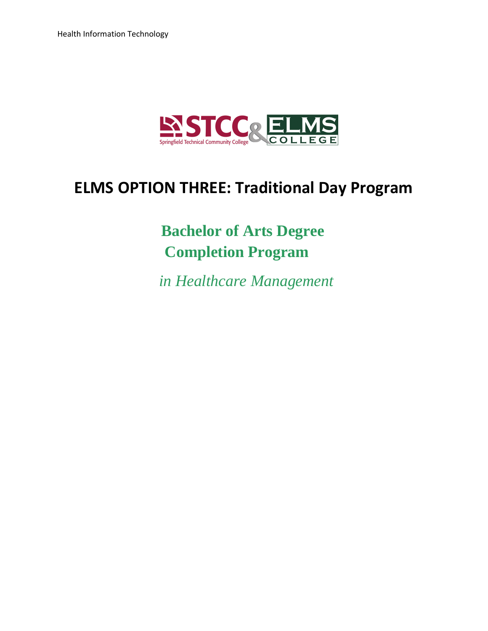

# **ELMS OPTION THREE: Traditional Day Program**

# **Bachelor of Arts Degree Completion Program**

 *in Healthcare Management*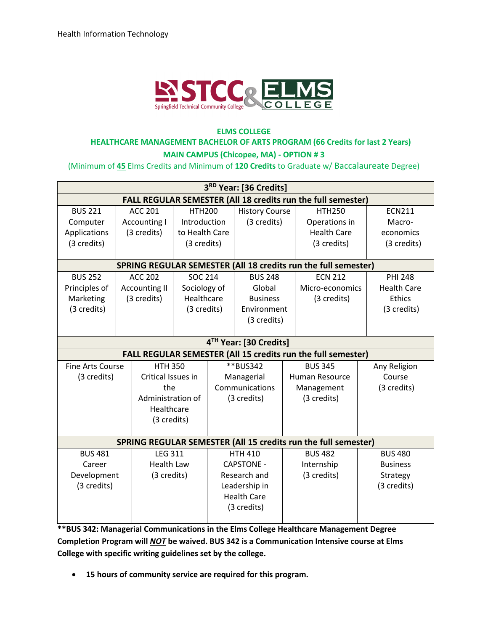

# **ELMS COLLEGE HEALTHCARE MANAGEMENT BACHELOR OF ARTS PROGRAM (66 Credits for last 2 Years)**

**MAIN CAMPUS (Chicopee, MA) - OPTION # 3** 

(Minimum of **45** Elms Credits and Minimum of **120 Credits** to Graduate w/ Baccalaureate Degree)

| 3RD Year: [36 Credits]                                         |                                                                     |                      |                   |                               |                       |                |                                                                       |                    |
|----------------------------------------------------------------|---------------------------------------------------------------------|----------------------|-------------------|-------------------------------|-----------------------|----------------|-----------------------------------------------------------------------|--------------------|
|                                                                |                                                                     |                      |                   |                               |                       |                | <b>FALL REGULAR SEMESTER (All 18 credits run the full semester)</b>   |                    |
| <b>BUS 221</b>                                                 |                                                                     | <b>ACC 201</b>       |                   | <b>HTH200</b>                 | <b>History Course</b> |                | <b>HTH250</b>                                                         | <b>ECN211</b>      |
| Computer                                                       |                                                                     | Accounting I         | Introduction      |                               | (3 credits)           |                | Operations in                                                         | Macro-             |
| Applications                                                   |                                                                     | (3 credits)          | to Health Care    |                               |                       |                | <b>Health Care</b>                                                    | economics          |
| (3 credits)                                                    |                                                                     |                      | (3 credits)       |                               |                       |                | (3 credits)                                                           | (3 credits)        |
|                                                                |                                                                     |                      |                   |                               |                       |                |                                                                       |                    |
|                                                                |                                                                     |                      |                   |                               |                       |                | <b>SPRING REGULAR SEMESTER (All 18 credits run the full semester)</b> |                    |
| <b>BUS 252</b>                                                 |                                                                     | <b>ACC 202</b>       | <b>SOC 214</b>    |                               | <b>BUS 248</b>        |                | <b>ECN 212</b>                                                        | <b>PHI 248</b>     |
| Principles of                                                  |                                                                     | <b>Accounting II</b> | Sociology of      |                               | Global                |                | Micro-economics                                                       | <b>Health Care</b> |
| Marketing                                                      |                                                                     | (3 credits)          |                   | Healthcare<br><b>Business</b> |                       |                | (3 credits)                                                           | Ethics             |
| (3 credits)                                                    |                                                                     |                      | (3 credits)       |                               | Environment           |                |                                                                       | (3 credits)        |
|                                                                |                                                                     |                      |                   |                               | (3 credits)           |                |                                                                       |                    |
|                                                                |                                                                     |                      |                   |                               |                       |                |                                                                       |                    |
|                                                                | 4TH Year: [30 Credits]                                              |                      |                   |                               |                       |                |                                                                       |                    |
|                                                                | <b>FALL REGULAR SEMESTER (All 15 credits run the full semester)</b> |                      |                   |                               |                       |                |                                                                       |                    |
| <b>Fine Arts Course</b>                                        |                                                                     | <b>HTH 350</b>       |                   | **BUS342                      |                       |                | <b>BUS 345</b>                                                        | Any Religion       |
| (3 credits)                                                    |                                                                     | Critical Issues in   |                   | Managerial                    |                       |                | Human Resource                                                        | Course             |
|                                                                |                                                                     | the                  |                   | Communications                |                       |                | Management                                                            | (3 credits)        |
|                                                                | Administration of                                                   |                      | (3 credits)       |                               |                       | (3 credits)    |                                                                       |                    |
| Healthcare                                                     |                                                                     |                      |                   |                               |                       |                |                                                                       |                    |
|                                                                |                                                                     | (3 credits)          |                   |                               |                       |                |                                                                       |                    |
|                                                                |                                                                     |                      |                   |                               |                       |                |                                                                       |                    |
| SPRING REGULAR SEMESTER (All 15 credits run the full semester) |                                                                     |                      |                   |                               |                       |                |                                                                       |                    |
| <b>BUS 481</b><br><b>LEG 311</b>                               |                                                                     | <b>HTH 410</b>       |                   |                               | <b>BUS 482</b>        | <b>BUS 480</b> |                                                                       |                    |
| <b>Health Law</b><br>Career                                    |                                                                     |                      | <b>CAPSTONE -</b> |                               |                       | Internship     | <b>Business</b>                                                       |                    |
| Development<br>(3 credits)                                     |                                                                     |                      | Research and      |                               |                       | (3 credits)    | Strategy                                                              |                    |
| (3 credits)                                                    |                                                                     |                      | Leadership in     |                               |                       |                | (3 credits)                                                           |                    |
|                                                                |                                                                     |                      |                   |                               | <b>Health Care</b>    |                |                                                                       |                    |
|                                                                |                                                                     |                      |                   |                               | (3 credits)           |                |                                                                       |                    |
|                                                                |                                                                     |                      |                   |                               |                       |                |                                                                       |                    |

**\*\*BUS 342: Managerial Communications in the Elms College Healthcare Management Degree Completion Program will** *NOT* **be waived. BUS 342 is a Communication Intensive course at Elms College with specific writing guidelines set by the college.** 

**15 hours of community service are required for this program.**